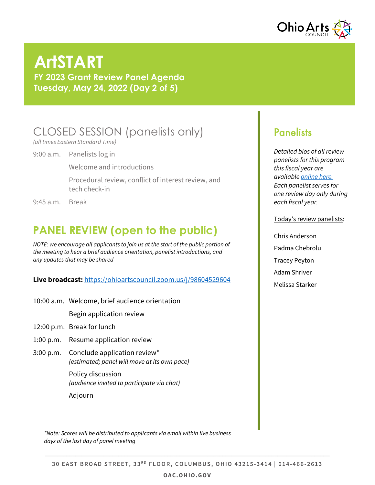

# **ArtSTART**

**FY 2023 Grant Review Panel Agenda Tuesday, May 24, 2022 (Day 2 of 5)**

# CLOSED SESSION (panelists only)

*(all times Eastern Standard Time)*

9:00 a.m. Panelists log in

Welcome and introductions

Procedural review, conflict of interest review, and tech check-in

9:45 a.m. Break

# **PANEL REVIEW (open to the public)**

*NOTE: we encourage all applicants to join us at the start of the public portion of the meeting to hear a brief audience orientation, panelist introductions, and any updates that may be shared*

### **Live broadcast:** <https://ohioartscouncil.zoom.us/j/98604529604>

10:00 a.m. Welcome, brief audience orientation

Begin application review

- 12:00 p.m. Break for lunch
- 1:00 p.m. Resume application review
- 3:00 p.m. Conclude application review\* *(estimated; panel will move at its own pace)*

Policy discussion *(audience invited to participate via chat)* Adjourn

*\*Note: Scores will be distributed to applicants via email within five business days of the last day of panel meeting*

### **Panelists**

*Detailed bios of all review panelists for this program this fiscal year are availabl[e online here.](https://www.oac.ohio.gov/Portals/0/grants/pdfs/2022-PanelMeetings/ArtSTART-2022-panelist-bios.pdf) Each panelist serves for one review day only during each fiscal year.*

#### Today's review panelists:

Chris Anderson Padma Chebrolu Tracey Peyton Adam Shriver Melissa Starker

#### **OAC.OHIO.GOV**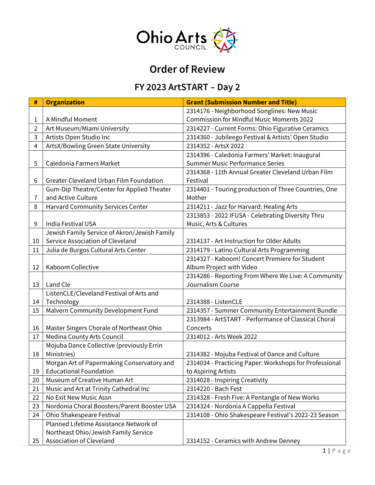

# **Order of Review**

### **FY 2023 ArtSTART – Day 2**

| #  | <b>Organization</b>                            | <b>Grant (Submission Number and Title)</b>             |
|----|------------------------------------------------|--------------------------------------------------------|
|    |                                                | 2314176 - Neighborhood Songlines: New Music            |
| 1  | A Mindful Moment                               | <b>Commission for Mindful Music Moments 2022</b>       |
| 2  | Art Museum/Miami University                    | 2314227 - Current Forms: Ohio Figurative Ceramics      |
| 3  | Artists Open Studio Inc                        | 2314360 - Jubileego Festival & Artists' Open Studio    |
| 4  | ArtsX/Bowling Green State University           | 2314352 - ArtsX 2022                                   |
|    |                                                | 2314396 - Caledonia Farmers' Market: Inaugural         |
| 5  | Caledonia Farmers Market                       | <b>Summer Music Performance Series</b>                 |
|    |                                                | 2314368 - 11th Annual Greater Cleveland Urban Film     |
| 6  | <b>Greater Cleveland Urban Film Foundation</b> | Festival                                               |
|    | Gum-Dip Theatre/Center for Applied Theater     | 2314401 - Touring production of Three Countries, One   |
| 7  | and Active Culture                             | Mother                                                 |
| 8  | <b>Harvard Community Services Center</b>       | 2314211 - Jazz for Harvard: Healing Arts               |
|    |                                                | 2313853 - 2022 IFUSA - Celebrating Diversity Thru      |
| 9  | <b>India Festival USA</b>                      | Music, Arts & Cultures                                 |
|    | Jewish Family Service of Akron/Jewish Family   |                                                        |
| 10 | Service Association of Cleveland               | 2314137 - Art Instruction for Older Adults             |
| 11 | Julia de Burgos Cultural Arts Center           | 2314179 - Latino Cultural Arts Programming             |
|    |                                                | 2314327 - Kaboom! Concert Premiere for Student         |
| 12 | Kaboom Collective                              | Album Project with Video                               |
|    |                                                | 2314286 - Reporting From Where We Live: A Community    |
| 13 | Land Cle                                       | Journalism Course                                      |
|    | ListenCLE/Cleveland Festival of Arts and       |                                                        |
| 14 | Technology                                     | 2314388 - ListenCLE                                    |
| 15 | Malvern Community Development Fund             | 2314357 - Summer Community Entertainment Bundle        |
|    |                                                | 2313984 - ArtSTART - Performance of Classical Choral   |
| 16 | Master Singers Chorale of Northeast Ohio       | Concerts                                               |
| 17 | Medina County Arts Council                     | 2314012 - Arts Week 2022                               |
|    | Mojuba Dance Collective (previously Errin      |                                                        |
| 18 | Ministries)                                    | 2314382 - Mojuba Festival of Dance and Culture         |
|    | Morgan Art of Papermaking Conservatory and     | 2314034 - Practicing Paper: Workshops for Professional |
| 19 | <b>Educational Foundation</b>                  | to Aspiring Artists                                    |
| 20 | Museum of Creative Human Art                   | 2314028 - Inspiring Creativity                         |
| 21 | Music and Art at Trinity Cathedral Inc         | 2314220 - Bach Fest                                    |
| 22 | No Exit New Music Assn                         | 2314328 - Fresh Five: A Pentangle of New Works         |
| 23 | Nordonia Choral Boosters/Parent Booster USA    | 2314324 - Nordonia A Cappella Festival                 |
| 24 | Ohio Shakespeare Festival                      | 2314108 - Ohio Shakespeare Festival's 2022-23 Season   |
|    | Planned Lifetime Assistance Network of         |                                                        |
|    | Northeast Ohio/Jewish Family Service           |                                                        |
| 25 | Association of Cleveland                       | 2314152 - Ceramics with Andrew Denney                  |